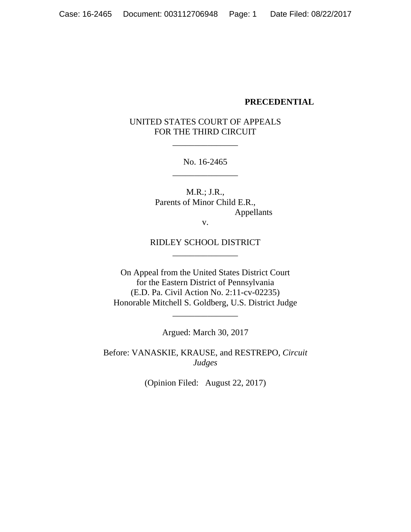#### **PRECEDENTIAL**

### UNITED STATES COURT OF APPEALS FOR THE THIRD CIRCUIT

\_\_\_\_\_\_\_\_\_\_\_\_\_\_\_

No. 16-2465 \_\_\_\_\_\_\_\_\_\_\_\_\_\_\_

M.R.; J.R., Parents of Minor Child E.R., Appellants

v.

#### RIDLEY SCHOOL DISTRICT \_\_\_\_\_\_\_\_\_\_\_\_\_\_\_

On Appeal from the United States District Court for the Eastern District of Pennsylvania (E.D. Pa. Civil Action No. 2:11-cv-02235) Honorable Mitchell S. Goldberg, U.S. District Judge

Argued: March 30, 2017

\_\_\_\_\_\_\_\_\_\_\_\_\_\_\_

Before: VANASKIE, KRAUSE, and RESTREPO, *Circuit Judges*

(Opinion Filed: August 22, 2017)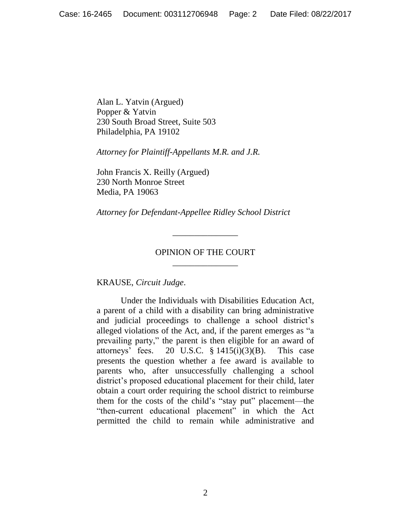Alan L. Yatvin (Argued) Popper & Yatvin 230 South Broad Street, Suite 503 Philadelphia, PA 19102

*Attorney for Plaintiff-Appellants M.R. and J.R.*

John Francis X. Reilly (Argued) 230 North Monroe Street Media, PA 19063

*Attorney for Defendant-Appellee Ridley School District*

### OPINION OF THE COURT \_\_\_\_\_\_\_\_\_\_\_\_\_\_\_

\_\_\_\_\_\_\_\_\_\_\_\_\_\_\_

KRAUSE, *Circuit Judge*.

Under the Individuals with Disabilities Education Act, a parent of a child with a disability can bring administrative and judicial proceedings to challenge a school district's alleged violations of the Act, and, if the parent emerges as "a prevailing party," the parent is then eligible for an award of attorneys' fees. 20 U.S.C.  $\S$  1415(i)(3)(B). This case presents the question whether a fee award is available to parents who, after unsuccessfully challenging a school district's proposed educational placement for their child, later obtain a court order requiring the school district to reimburse them for the costs of the child's "stay put" placement—the "then-current educational placement" in which the Act permitted the child to remain while administrative and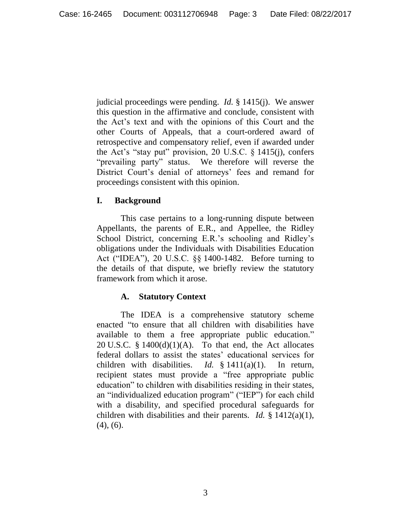judicial proceedings were pending. *Id.* § 1415(j). We answer this question in the affirmative and conclude, consistent with the Act's text and with the opinions of this Court and the other Courts of Appeals, that a court-ordered award of retrospective and compensatory relief, even if awarded under the Act's "stay put" provision, 20 U.S.C. § 1415(j), confers "prevailing party" status. We therefore will reverse the District Court's denial of attorneys' fees and remand for proceedings consistent with this opinion.

### **I. Background**

This case pertains to a long-running dispute between Appellants, the parents of E.R., and Appellee, the Ridley School District, concerning E.R.'s schooling and Ridley's obligations under the Individuals with Disabilities Education Act ("IDEA"), 20 U.S.C. §§ 1400-1482. Before turning to the details of that dispute, we briefly review the statutory framework from which it arose.

# **A. Statutory Context**

The IDEA is a comprehensive statutory scheme enacted "to ensure that all children with disabilities have available to them a free appropriate public education." 20 U.S.C.  $\S$  1400(d)(1)(A). To that end, the Act allocates federal dollars to assist the states' educational services for children with disabilities. *Id.* § 1411(a)(1). In return, recipient states must provide a "free appropriate public education" to children with disabilities residing in their states, an "individualized education program" ("IEP") for each child with a disability, and specified procedural safeguards for children with disabilities and their parents. *Id.* § 1412(a)(1),  $(4)$ ,  $(6)$ .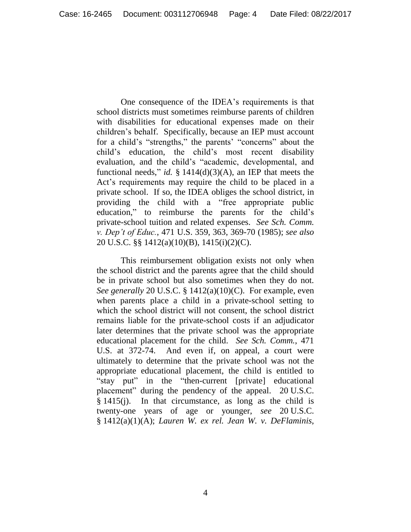One consequence of the IDEA's requirements is that school districts must sometimes reimburse parents of children with disabilities for educational expenses made on their children's behalf. Specifically, because an IEP must account for a child's "strengths," the parents' "concerns" about the child's education, the child's most recent disability evaluation, and the child's "academic, developmental, and functional needs," *id.* § 1414(d)(3)(A), an IEP that meets the Act's requirements may require the child to be placed in a private school. If so, the IDEA obliges the school district, in providing the child with a "free appropriate public education," to reimburse the parents for the child's private-school tuition and related expenses. *See Sch. Comm. v. Dep't of Educ.*, 471 U.S. 359, 363, 369-70 (1985); *see also* 20 U.S.C. §§ 1412(a)(10)(B), 1415(i)(2)(C).

This reimbursement obligation exists not only when the school district and the parents agree that the child should be in private school but also sometimes when they do not. *See generally* 20 U.S.C. § 1412(a)(10)(C). For example, even when parents place a child in a private-school setting to which the school district will not consent, the school district remains liable for the private-school costs if an adjudicator later determines that the private school was the appropriate educational placement for the child. *See Sch. Comm.*, 471 U.S. at 372-74. And even if, on appeal, a court were ultimately to determine that the private school was not the appropriate educational placement, the child is entitled to "stay put" in the "then-current [private] educational placement" during the pendency of the appeal. 20 U.S.C. § 1415(j). In that circumstance, as long as the child is twenty-one years of age or younger, *see* 20 U.S.C. § 1412(a)(1)(A); *Lauren W. ex rel. Jean W. v. DeFlaminis*,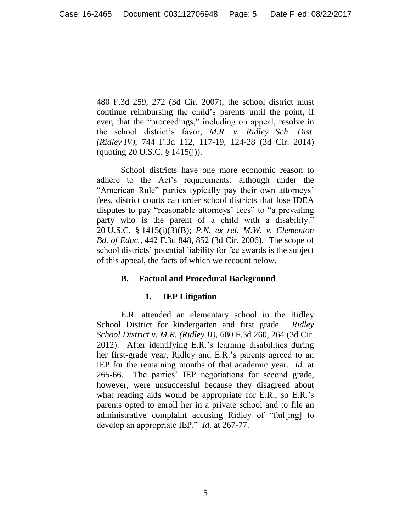480 F.3d 259, 272 (3d Cir. 2007), the school district must continue reimbursing the child's parents until the point, if ever, that the "proceedings," including on appeal, resolve in the school district's favor, *M.R. v. Ridley Sch. Dist. (Ridley IV)*, 744 F.3d 112, 117-19, 124-28 (3d Cir. 2014) (quoting 20 U.S.C. § 1415(j)).

School districts have one more economic reason to adhere to the Act's requirements: although under the "American Rule" parties typically pay their own attorneys' fees, district courts can order school districts that lose IDEA disputes to pay "reasonable attorneys' fees" to "a prevailing party who is the parent of a child with a disability." 20 U.S.C. § 1415(i)(3)(B); *P.N. ex rel. M.W. v. Clementon Bd. of Educ.*, 442 F.3d 848, 852 (3d Cir. 2006). The scope of school districts' potential liability for fee awards is the subject of this appeal, the facts of which we recount below.

### **B. Factual and Procedural Background**

### **1. IEP Litigation**

E.R. attended an elementary school in the Ridley School District for kindergarten and first grade. *Ridley School District v. M.R. (Ridley II)*, 680 F.3d 260, 264 (3d Cir. 2012). After identifying E.R.'s learning disabilities during her first-grade year, Ridley and E.R.'s parents agreed to an IEP for the remaining months of that academic year. *Id.* at 265-66. The parties' IEP negotiations for second grade, however, were unsuccessful because they disagreed about what reading aids would be appropriate for E.R., so E.R.'s parents opted to enroll her in a private school and to file an administrative complaint accusing Ridley of "fail[ing] to develop an appropriate IEP." *Id.* at 267-77.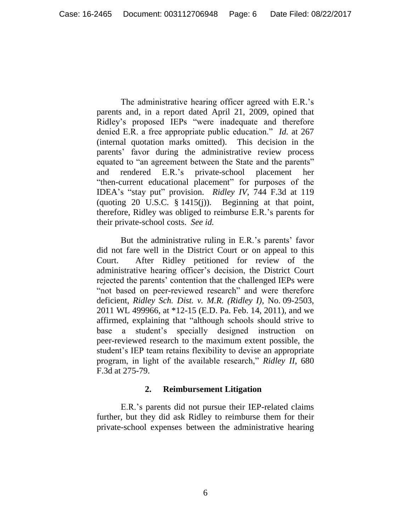The administrative hearing officer agreed with E.R.'s parents and, in a report dated April 21, 2009, opined that Ridley's proposed IEPs "were inadequate and therefore denied E.R. a free appropriate public education." *Id.* at 267 (internal quotation marks omitted). This decision in the parents' favor during the administrative review process equated to "an agreement between the State and the parents" and rendered E.R.'s private-school placement her "then-current educational placement" for purposes of the IDEA's "stay put" provision. *Ridley IV*, 744 F.3d at 119 (quoting 20 U.S.C.  $\S$  1415(j)). Beginning at that point, therefore, Ridley was obliged to reimburse E.R.'s parents for their private-school costs. *See id.*

But the administrative ruling in E.R.'s parents' favor did not fare well in the District Court or on appeal to this Court. After Ridley petitioned for review of the administrative hearing officer's decision, the District Court rejected the parents' contention that the challenged IEPs were "not based on peer-reviewed research" and were therefore deficient, *Ridley Sch. Dist. v. M.R. (Ridley I)*, No. 09-2503, 2011 WL 499966, at \*12-15 (E.D. Pa. Feb. 14, 2011), and we affirmed, explaining that "although schools should strive to base a student's specially designed instruction on peer-reviewed research to the maximum extent possible, the student's IEP team retains flexibility to devise an appropriate program, in light of the available research," *Ridley II*, 680 F.3d at 275-79.

#### **2. Reimbursement Litigation**

E.R.'s parents did not pursue their IEP-related claims further, but they did ask Ridley to reimburse them for their private-school expenses between the administrative hearing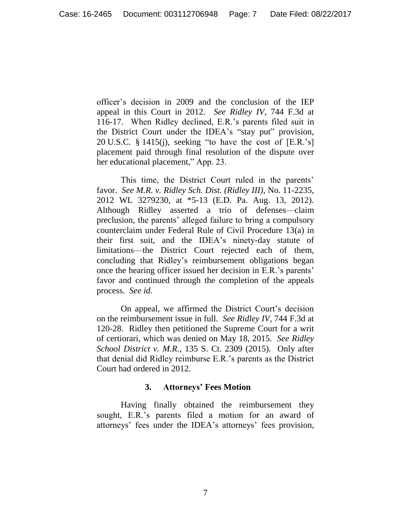officer's decision in 2009 and the conclusion of the IEP appeal in this Court in 2012. *See Ridley IV*, 744 F.3d at 116-17. When Ridley declined, E.R.'s parents filed suit in the District Court under the IDEA's "stay put" provision, 20 U.S.C.  $\S$  1415(j), seeking "to have the cost of [E.R.'s] placement paid through final resolution of the dispute over her educational placement," App. 23.

This time, the District Court ruled in the parents' favor. *See M.R. v. Ridley Sch. Dist. (Ridley III)*, No. 11-2235, 2012 WL 3279230, at \*5-13 (E.D. Pa. Aug. 13, 2012). Although Ridley asserted a trio of defenses—claim preclusion, the parents' alleged failure to bring a compulsory counterclaim under Federal Rule of Civil Procedure 13(a) in their first suit, and the IDEA's ninety-day statute of limitations—the District Court rejected each of them, concluding that Ridley's reimbursement obligations began once the hearing officer issued her decision in E.R.'s parents' favor and continued through the completion of the appeals process. *See id.*

On appeal, we affirmed the District Court's decision on the reimbursement issue in full. *See Ridley IV*, 744 F.3d at 120-28. Ridley then petitioned the Supreme Court for a writ of certiorari, which was denied on May 18, 2015. *See Ridley School District v. M.R.*, 135 S. Ct. 2309 (2015). Only after that denial did Ridley reimburse E.R.'s parents as the District Court had ordered in 2012.

#### **3. Attorneys' Fees Motion**

Having finally obtained the reimbursement they sought, E.R.'s parents filed a motion for an award of attorneys' fees under the IDEA's attorneys' fees provision,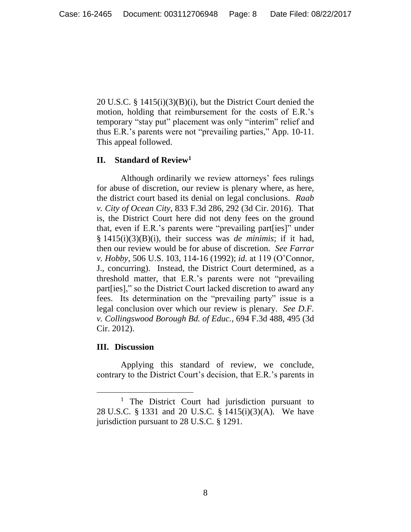20 U.S.C. § 1415(i)(3)(B)(i), but the District Court denied the motion, holding that reimbursement for the costs of E.R.'s temporary "stay put" placement was only "interim" relief and thus E.R.'s parents were not "prevailing parties," App. 10-11. This appeal followed.

### **II. Standard of Review<sup>1</sup>**

Although ordinarily we review attorneys' fees rulings for abuse of discretion, our review is plenary where, as here, the district court based its denial on legal conclusions. *Raab v. City of Ocean City*, 833 F.3d 286, 292 (3d Cir. 2016). That is, the District Court here did not deny fees on the ground that, even if E.R.'s parents were "prevailing part[ies]" under § 1415(i)(3)(B)(i), their success was *de minimis*; if it had, then our review would be for abuse of discretion. *See Farrar v. Hobby*, 506 U.S. 103, 114-16 (1992); *id.* at 119 (O'Connor, J., concurring). Instead, the District Court determined, as a threshold matter, that E.R.'s parents were not "prevailing part[ies]," so the District Court lacked discretion to award any fees. Its determination on the "prevailing party" issue is a legal conclusion over which our review is plenary. *See D.F. v. Collingswood Borough Bd. of Educ.*, 694 F.3d 488, 495 (3d Cir. 2012).

### **III. Discussion**

Applying this standard of review, we conclude, contrary to the District Court's decision, that E.R.'s parents in

<sup>&</sup>lt;sup>1</sup> The District Court had jurisdiction pursuant to 28 U.S.C. § 1331 and 20 U.S.C. § 1415(i)(3)(A). We have jurisdiction pursuant to 28 U.S.C. § 1291.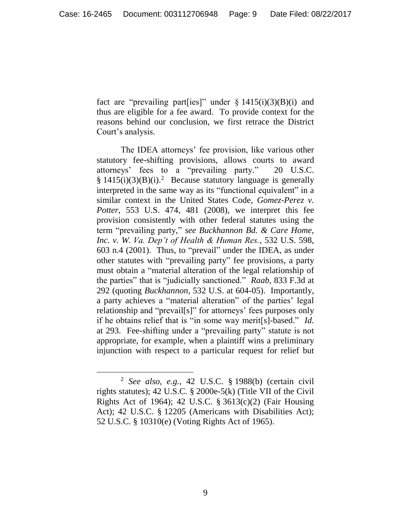fact are "prevailing part[ies]" under  $\S 1415(i)(3)(B)(i)$  and thus are eligible for a fee award. To provide context for the reasons behind our conclusion, we first retrace the District Court's analysis.

The IDEA attorneys' fee provision, like various other statutory fee-shifting provisions, allows courts to award attorneys' fees to a "prevailing party." 20 U.S.C.  $§ 1415(i)(3)(B)(i).<sup>2</sup>$  Because statutory language is generally interpreted in the same way as its "functional equivalent" in a similar context in the United States Code, *Gomez-Perez v. Potter*, 553 U.S. 474, 481 (2008), we interpret this fee provision consistently with other federal statutes using the term "prevailing party," *see Buckhannon Bd. & Care Home, Inc. v. W. Va. Dep't of Health & Human Res.*, 532 U.S. 598, 603 n.4 (2001). Thus, to "prevail" under the IDEA, as under other statutes with "prevailing party" fee provisions, a party must obtain a "material alteration of the legal relationship of the parties" that is "judicially sanctioned." *Raab*, 833 F.3d at 292 (quoting *Buckhannon*, 532 U.S. at 604-05). Importantly, a party achieves a "material alteration" of the parties' legal relationship and "prevail[s]" for attorneys' fees purposes only if he obtains relief that is "in some way merit[s]-based." *Id.* at 293. Fee-shifting under a "prevailing party" statute is not appropriate, for example, when a plaintiff wins a preliminary injunction with respect to a particular request for relief but

 $\overline{a}$ 

<sup>2</sup> *See also, e.g.*, 42 U.S.C. § 1988(b) (certain civil rights statutes); 42 U.S.C. § 2000e-5(k) (Title VII of the Civil Rights Act of 1964); 42 U.S.C. § 3613(c)(2) (Fair Housing Act); 42 U.S.C. § 12205 (Americans with Disabilities Act); 52 U.S.C. § 10310(e) (Voting Rights Act of 1965).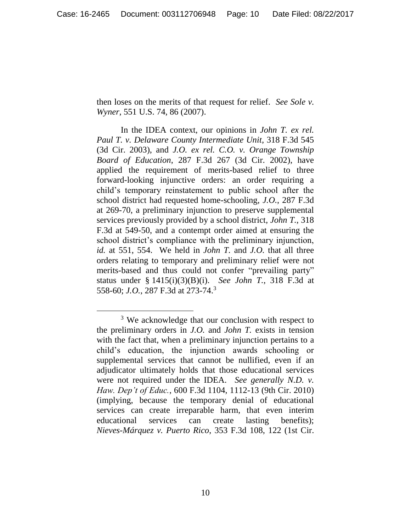then loses on the merits of that request for relief. *See Sole v. Wyner*, 551 U.S. 74, 86 (2007).

In the IDEA context, our opinions in *John T. ex rel. Paul T. v. Delaware County Intermediate Unit*, 318 F.3d 545 (3d Cir. 2003), and *J.O. ex rel. C.O. v. Orange Township Board of Education*, 287 F.3d 267 (3d Cir. 2002), have applied the requirement of merits-based relief to three forward-looking injunctive orders: an order requiring a child's temporary reinstatement to public school after the school district had requested home-schooling, *J.O.*, 287 F.3d at 269-70, a preliminary injunction to preserve supplemental services previously provided by a school district, *John T.*, 318 F.3d at 549-50, and a contempt order aimed at ensuring the school district's compliance with the preliminary injunction, *id.* at 551, 554. We held in *John T.* and *J.O.* that all three orders relating to temporary and preliminary relief were not merits-based and thus could not confer "prevailing party" status under § 1415(i)(3)(B)(i). *See John T.*, 318 F.3d at 558-60; *J.O.*, 287 F.3d at 273-74.<sup>3</sup>

 $\overline{a}$ 

<sup>&</sup>lt;sup>3</sup> We acknowledge that our conclusion with respect to the preliminary orders in *J.O.* and *John T.* exists in tension with the fact that, when a preliminary injunction pertains to a child's education, the injunction awards schooling or supplemental services that cannot be nullified, even if an adjudicator ultimately holds that those educational services were not required under the IDEA. *See generally N.D. v. Haw. Dep't of Educ.*, 600 F.3d 1104, 1112-13 (9th Cir. 2010) (implying, because the temporary denial of educational services can create irreparable harm, that even interim educational services can create lasting benefits); *Nieves-Márquez v. Puerto Rico*, 353 F.3d 108, 122 (1st Cir.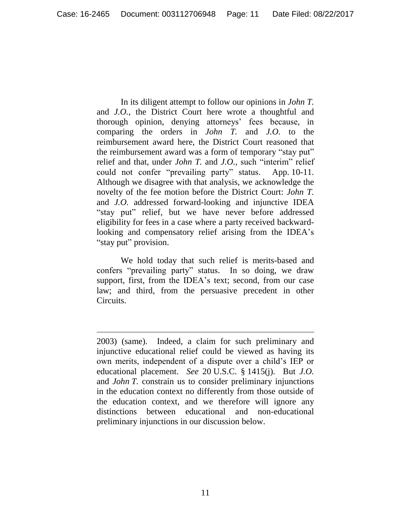In its diligent attempt to follow our opinions in *John T.* and *J.O.*, the District Court here wrote a thoughtful and thorough opinion, denying attorneys' fees because, in comparing the orders in *John T.* and *J.O.* to the reimbursement award here, the District Court reasoned that the reimbursement award was a form of temporary "stay put" relief and that, under *John T.* and *J.O.*, such "interim" relief could not confer "prevailing party" status. App. 10-11. Although we disagree with that analysis, we acknowledge the novelty of the fee motion before the District Court: *John T.* and *J.O.* addressed forward-looking and injunctive IDEA "stay put" relief, but we have never before addressed eligibility for fees in a case where a party received backwardlooking and compensatory relief arising from the IDEA's "stay put" provision.

We hold today that such relief is merits-based and confers "prevailing party" status. In so doing, we draw support, first, from the IDEA's text; second, from our case law; and third, from the persuasive precedent in other Circuits.

<sup>2003) (</sup>same). Indeed, a claim for such preliminary and injunctive educational relief could be viewed as having its own merits, independent of a dispute over a child's IEP or educational placement. *See* 20 U.S.C. § 1415(j). But *J.O.* and *John T.* constrain us to consider preliminary injunctions in the education context no differently from those outside of the education context, and we therefore will ignore any distinctions between educational and non-educational preliminary injunctions in our discussion below.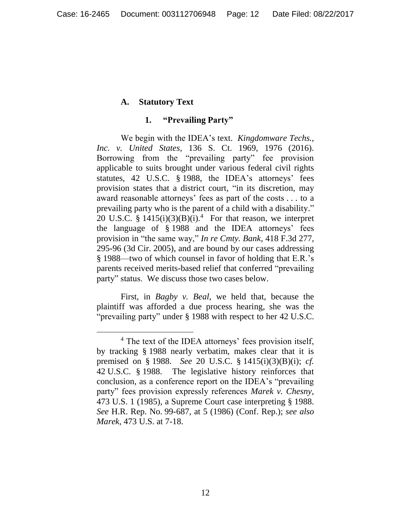## **A. Statutory Text**

#### **1. "Prevailing Party"**

We begin with the IDEA's text. *Kingdomware Techs., Inc. v. United States*, 136 S. Ct. 1969, 1976 (2016). Borrowing from the "prevailing party" fee provision applicable to suits brought under various federal civil rights statutes, 42 U.S.C. § 1988, the IDEA's attorneys' fees provision states that a district court, "in its discretion, may award reasonable attorneys' fees as part of the costs . . . to a prevailing party who is the parent of a child with a disability." 20 U.S.C. §  $1415(i)(3)(B)(i)$ .<sup>4</sup> For that reason, we interpret the language of § 1988 and the IDEA attorneys' fees provision in "the same way," *In re Cmty. Bank*, 418 F.3d 277, 295-96 (3d Cir. 2005), and are bound by our cases addressing § 1988—two of which counsel in favor of holding that E.R.'s parents received merits-based relief that conferred "prevailing party" status. We discuss those two cases below.

First, in *Bagby v. Beal*, we held that, because the plaintiff was afforded a due process hearing, she was the "prevailing party" under § 1988 with respect to her 42 U.S.C.

<sup>&</sup>lt;sup>4</sup> The text of the IDEA attorneys' fees provision itself, by tracking § 1988 nearly verbatim, makes clear that it is premised on § 1988. *See* 20 U.S.C. § 1415(i)(3)(B)(i); *cf.* 42 U.S.C. § 1988. The legislative history reinforces that conclusion, as a conference report on the IDEA's "prevailing party" fees provision expressly references *Marek v. Chesny*, 473 U.S. 1 (1985), a Supreme Court case interpreting § 1988. *See* H.R. Rep. No. 99-687, at 5 (1986) (Conf. Rep.); *see also Marek*, 473 U.S. at 7-18.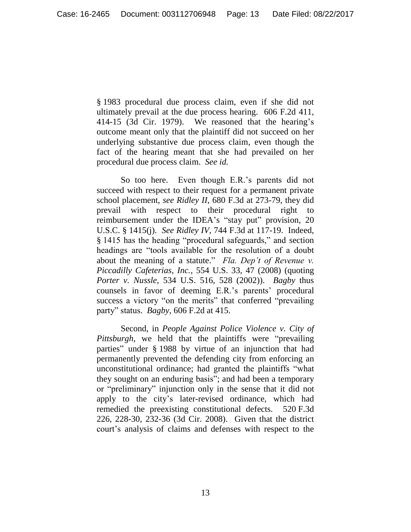§ 1983 procedural due process claim, even if she did not ultimately prevail at the due process hearing. 606 F.2d 411, 414-15 (3d Cir. 1979). We reasoned that the hearing's outcome meant only that the plaintiff did not succeed on her underlying substantive due process claim, even though the fact of the hearing meant that she had prevailed on her procedural due process claim. *See id.*

So too here. Even though E.R.'s parents did not succeed with respect to their request for a permanent private school placement, *see Ridley II*, 680 F.3d at 273-79, they did prevail with respect to their procedural right to reimbursement under the IDEA's "stay put" provision, 20 U.S.C. § 1415(j). *See Ridley IV*, 744 F.3d at 117-19. Indeed, § 1415 has the heading "procedural safeguards," and section headings are "tools available for the resolution of a doubt about the meaning of a statute." *Fla. Dep't of Revenue v. Piccadilly Cafeterias, Inc.*, 554 U.S. 33, 47 (2008) (quoting *Porter v. Nussle*, 534 U.S. 516, 528 (2002)). *Bagby* thus counsels in favor of deeming E.R.'s parents' procedural success a victory "on the merits" that conferred "prevailing party" status. *Bagby*, 606 F.2d at 415.

Second, in *People Against Police Violence v. City of Pittsburgh*, we held that the plaintiffs were "prevailing parties" under § 1988 by virtue of an injunction that had permanently prevented the defending city from enforcing an unconstitutional ordinance; had granted the plaintiffs "what they sought on an enduring basis"; and had been a temporary or "preliminary" injunction only in the sense that it did not apply to the city's later-revised ordinance, which had remedied the preexisting constitutional defects. 520 F.3d 226, 228-30, 232-36 (3d Cir. 2008). Given that the district court's analysis of claims and defenses with respect to the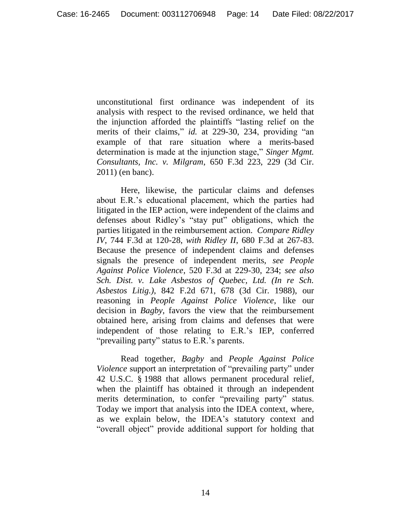unconstitutional first ordinance was independent of its analysis with respect to the revised ordinance, we held that the injunction afforded the plaintiffs "lasting relief on the merits of their claims," *id.* at 229-30, 234, providing "an example of that rare situation where a merits-based determination is made at the injunction stage," *Singer Mgmt. Consultants, Inc. v. Milgram*, 650 F.3d 223, 229 (3d Cir. 2011) (en banc).

Here, likewise, the particular claims and defenses about E.R.'s educational placement, which the parties had litigated in the IEP action, were independent of the claims and defenses about Ridley's "stay put" obligations, which the parties litigated in the reimbursement action. *Compare Ridley IV*, 744 F.3d at 120-28, *with Ridley II*, 680 F.3d at 267-83. Because the presence of independent claims and defenses signals the presence of independent merits, *see People Against Police Violence*, 520 F.3d at 229-30, 234; *see also Sch. Dist. v. Lake Asbestos of Quebec, Ltd. (In re Sch. Asbestos Litig.)*, 842 F.2d 671, 678 (3d Cir. 1988), our reasoning in *People Against Police Violence*, like our decision in *Bagby*, favors the view that the reimbursement obtained here, arising from claims and defenses that were independent of those relating to E.R.'s IEP, conferred "prevailing party" status to E.R.'s parents.

Read together, *Bagby* and *People Against Police Violence* support an interpretation of "prevailing party" under 42 U.S.C. § 1988 that allows permanent procedural relief, when the plaintiff has obtained it through an independent merits determination, to confer "prevailing party" status. Today we import that analysis into the IDEA context, where, as we explain below, the IDEA's statutory context and "overall object" provide additional support for holding that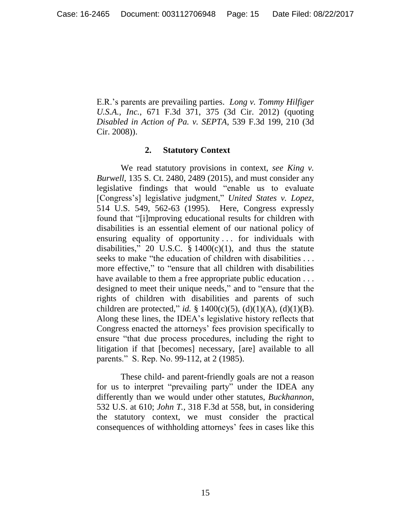E.R.'s parents are prevailing parties. *Long v. Tommy Hilfiger U.S.A., Inc.*, 671 F.3d 371, 375 (3d Cir. 2012) (quoting *Disabled in Action of Pa. v. SEPTA*, 539 F.3d 199, 210 (3d Cir. 2008)).

### **2. Statutory Context**

We read statutory provisions in context, *see King v. Burwell*, 135 S. Ct. 2480, 2489 (2015), and must consider any legislative findings that would "enable us to evaluate [Congress's] legislative judgment," *United States v. Lopez*, 514 U.S. 549, 562-63 (1995). Here, Congress expressly found that "[i]mproving educational results for children with disabilities is an essential element of our national policy of ensuring equality of opportunity ... for individuals with disabilities," 20 U.S.C.  $\S$  1400(c)(1), and thus the statute seeks to make "the education of children with disabilities . . . more effective," to "ensure that all children with disabilities have available to them a free appropriate public education . . . designed to meet their unique needs," and to "ensure that the rights of children with disabilities and parents of such children are protected," *id.* § 1400(c)(5), (d)(1)(A), (d)(1)(B). Along these lines, the IDEA's legislative history reflects that Congress enacted the attorneys' fees provision specifically to ensure "that due process procedures, including the right to litigation if that [becomes] necessary, [are] available to all parents." S. Rep. No. 99-112, at 2 (1985).

These child- and parent-friendly goals are not a reason for us to interpret "prevailing party" under the IDEA any differently than we would under other statutes, *Buckhannon*, 532 U.S. at 610; *John T.*, 318 F.3d at 558, but, in considering the statutory context, we must consider the practical consequences of withholding attorneys' fees in cases like this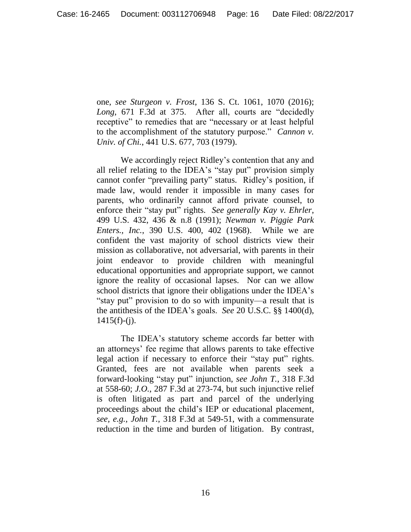one, *see Sturgeon v. Frost*, 136 S. Ct. 1061, 1070 (2016); *Long*, 671 F.3d at 375. After all, courts are "decidedly receptive" to remedies that are "necessary or at least helpful to the accomplishment of the statutory purpose." *Cannon v. Univ. of Chi.*, 441 U.S. 677, 703 (1979).

We accordingly reject Ridley's contention that any and all relief relating to the IDEA's "stay put" provision simply cannot confer "prevailing party" status. Ridley's position, if made law, would render it impossible in many cases for parents, who ordinarily cannot afford private counsel, to enforce their "stay put" rights. *See generally Kay v. Ehrler*, 499 U.S. 432, 436 & n.8 (1991); *Newman v. Piggie Park Enters., Inc.*, 390 U.S. 400, 402 (1968). While we are confident the vast majority of school districts view their mission as collaborative, not adversarial, with parents in their joint endeavor to provide children with meaningful educational opportunities and appropriate support, we cannot ignore the reality of occasional lapses. Nor can we allow school districts that ignore their obligations under the IDEA's "stay put" provision to do so with impunity—a result that is the antithesis of the IDEA's goals. *See* 20 U.S.C. §§ 1400(d),  $1415(f)-(i)$ .

The IDEA's statutory scheme accords far better with an attorneys' fee regime that allows parents to take effective legal action if necessary to enforce their "stay put" rights. Granted, fees are not available when parents seek a forward-looking "stay put" injunction, *see John T.*, 318 F.3d at 558-60; *J.O.*, 287 F.3d at 273-74, but such injunctive relief is often litigated as part and parcel of the underlying proceedings about the child's IEP or educational placement, *see, e.g.*, *John T.*, 318 F.3d at 549-51, with a commensurate reduction in the time and burden of litigation. By contrast,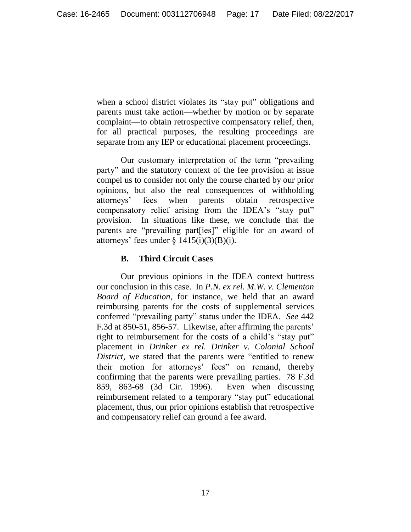when a school district violates its "stay put" obligations and parents must take action—whether by motion or by separate complaint—to obtain retrospective compensatory relief, then, for all practical purposes, the resulting proceedings are separate from any IEP or educational placement proceedings.

Our customary interpretation of the term "prevailing party" and the statutory context of the fee provision at issue compel us to consider not only the course charted by our prior opinions, but also the real consequences of withholding attorneys' fees when parents obtain retrospective compensatory relief arising from the IDEA's "stay put" provision. In situations like these, we conclude that the parents are "prevailing part[ies]" eligible for an award of attorneys' fees under  $\S$  1415(i)(3)(B)(i).

### **B. Third Circuit Cases**

Our previous opinions in the IDEA context buttress our conclusion in this case. In *P.N. ex rel. M.W. v. Clementon Board of Education*, for instance, we held that an award reimbursing parents for the costs of supplemental services conferred "prevailing party" status under the IDEA. *See* 442 F.3d at 850-51, 856-57. Likewise, after affirming the parents' right to reimbursement for the costs of a child's "stay put" placement in *Drinker ex rel. Drinker v. Colonial School District*, we stated that the parents were "entitled to renew their motion for attorneys' fees" on remand, thereby confirming that the parents were prevailing parties. 78 F.3d 859, 863-68 (3d Cir. 1996). Even when discussing reimbursement related to a temporary "stay put" educational placement, thus, our prior opinions establish that retrospective and compensatory relief can ground a fee award.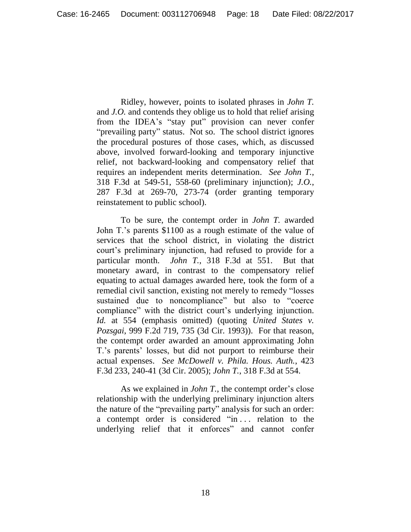Ridley, however, points to isolated phrases in *John T.* and *J.O.* and contends they oblige us to hold that relief arising from the IDEA's "stay put" provision can never confer "prevailing party" status. Not so. The school district ignores the procedural postures of those cases, which, as discussed above, involved forward-looking and temporary injunctive relief, not backward-looking and compensatory relief that requires an independent merits determination. *See John T.*, 318 F.3d at 549-51, 558-60 (preliminary injunction); *J.O.*, 287 F.3d at 269-70, 273-74 (order granting temporary reinstatement to public school).

To be sure, the contempt order in *John T.* awarded John T.'s parents \$1100 as a rough estimate of the value of services that the school district, in violating the district court's preliminary injunction, had refused to provide for a particular month. *John T.*, 318 F.3d at 551. But that monetary award, in contrast to the compensatory relief equating to actual damages awarded here, took the form of a remedial civil sanction, existing not merely to remedy "losses sustained due to noncompliance" but also to "coerce compliance" with the district court's underlying injunction. *Id.* at 554 (emphasis omitted) (quoting *United States v. Pozsgai*, 999 F.2d 719, 735 (3d Cir. 1993)). For that reason, the contempt order awarded an amount approximating John T.'s parents' losses, but did not purport to reimburse their actual expenses. *See McDowell v. Phila. Hous. Auth.*, 423 F.3d 233, 240-41 (3d Cir. 2005); *John T.*, 318 F.3d at 554.

As we explained in *John T.*, the contempt order's close relationship with the underlying preliminary injunction alters the nature of the "prevailing party" analysis for such an order: a contempt order is considered "in . . . relation to the underlying relief that it enforces" and cannot confer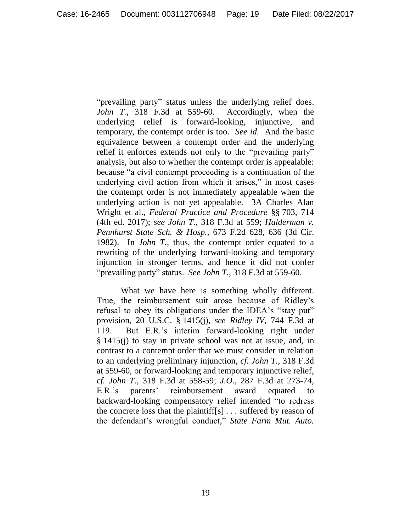"prevailing party" status unless the underlying relief does. *John T.*, 318 F.3d at 559-60. Accordingly, when the underlying relief is forward-looking, injunctive, and temporary, the contempt order is too. *See id.* And the basic equivalence between a contempt order and the underlying relief it enforces extends not only to the "prevailing party" analysis, but also to whether the contempt order is appealable: because "a civil contempt proceeding is a continuation of the underlying civil action from which it arises," in most cases the contempt order is not immediately appealable when the underlying action is not yet appealable. 3A Charles Alan Wright et al., *Federal Practice and Procedure* §§ 703, 714 (4th ed. 2017); *see John T.*, 318 F.3d at 559; *Halderman v. Pennhurst State Sch. & Hosp.*, 673 F.2d 628, 636 (3d Cir. 1982). In *John T.*, thus, the contempt order equated to a rewriting of the underlying forward-looking and temporary injunction in stronger terms, and hence it did not confer "prevailing party" status. *See John T.*, 318 F.3d at 559-60.

What we have here is something wholly different. True, the reimbursement suit arose because of Ridley's refusal to obey its obligations under the IDEA's "stay put" provision, 20 U.S.C. § 1415(j), *see Ridley IV*, 744 F.3d at 119. But E.R.'s interim forward-looking right under § 1415(j) to stay in private school was not at issue, and, in contrast to a contempt order that we must consider in relation to an underlying preliminary injunction, *cf. John T.*, 318 F.3d at 559-60, or forward-looking and temporary injunctive relief, *cf. John T.*, 318 F.3d at 558-59; *J.O.*, 287 F.3d at 273-74, E.R.'s parents' reimbursement award equated to backward-looking compensatory relief intended "to redress the concrete loss that the plaintiff[s] . . . suffered by reason of the defendant's wrongful conduct," *State Farm Mut. Auto.*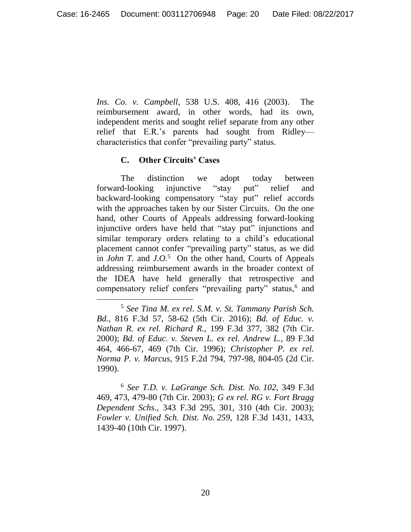*Ins. Co. v. Campbell*, 538 U.S. 408, 416 (2003). The reimbursement award, in other words, had its own, independent merits and sought relief separate from any other relief that E.R.'s parents had sought from Ridley characteristics that confer "prevailing party" status.

### **C. Other Circuits' Cases**

 $\overline{a}$ 

The distinction we adopt today between forward-looking injunctive "stay put" relief and backward-looking compensatory "stay put" relief accords with the approaches taken by our Sister Circuits. On the one hand, other Courts of Appeals addressing forward-looking injunctive orders have held that "stay put" injunctions and similar temporary orders relating to a child's educational placement cannot confer "prevailing party" status, as we did in *John T.* and *J.O.*<sup>5</sup> On the other hand, Courts of Appeals addressing reimbursement awards in the broader context of the IDEA have held generally that retrospective and compensatory relief confers "prevailing party" status,<sup>6</sup> and

<sup>6</sup> *See T.D. v. LaGrange Sch. Dist. No. 102*, 349 F.3d 469, 473, 479-80 (7th Cir. 2003); *G ex rel. RG v. Fort Bragg Dependent Schs.*, 343 F.3d 295, 301, 310 (4th Cir. 2003); *Fowler v. Unified Sch. Dist. No. 259*, 128 F.3d 1431, 1433, 1439-40 (10th Cir. 1997).

<sup>5</sup> *See Tina M. ex rel. S.M. v. St. Tammany Parish Sch. Bd.*, 816 F.3d 57, 58-62 (5th Cir. 2016); *Bd. of Educ. v. Nathan R. ex rel. Richard R.*, 199 F.3d 377, 382 (7th Cir. 2000); *Bd. of Educ. v. Steven L. ex rel. Andrew L.*, 89 F.3d 464, 466-67, 469 (7th Cir. 1996); *Christopher P. ex rel. Norma P. v. Marcus*, 915 F.2d 794, 797-98, 804-05 (2d Cir. 1990).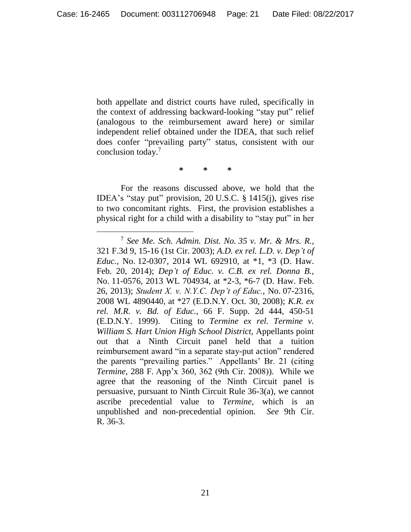both appellate and district courts have ruled, specifically in the context of addressing backward-looking "stay put" relief (analogous to the reimbursement award here) or similar independent relief obtained under the IDEA, that such relief does confer "prevailing party" status, consistent with our conclusion today. 7

**\* \* \***

For the reasons discussed above, we hold that the IDEA's "stay put" provision, 20 U.S.C. § 1415(j), gives rise to two concomitant rights. First, the provision establishes a physical right for a child with a disability to "stay put" in her

 $\overline{a}$ 

<sup>7</sup> *See Me. Sch. Admin. Dist. No. 35 v. Mr. & Mrs. R.*, 321 F.3d 9, 15-16 (1st Cir. 2003); *A.D. ex rel. L.D. v. Dep't of Educ.*, No. 12-0307, 2014 WL 692910, at \*1, \*3 (D. Haw. Feb. 20, 2014); *Dep't of Educ. v. C.B. ex rel. Donna B.*, No. 11-0576, 2013 WL 704934, at \*2-3, \*6-7 (D. Haw. Feb. 26, 2013); *Student X. v. N.Y.C. Dep't of Educ.*, No. 07-2316, 2008 WL 4890440, at \*27 (E.D.N.Y. Oct. 30, 2008); *K.R. ex rel. M.R. v. Bd. of Educ.*, 66 F. Supp. 2d 444, 450-51 (E.D.N.Y. 1999). Citing to *Termine ex rel. Termine v. William S. Hart Union High School District*, Appellants point out that a Ninth Circuit panel held that a tuition reimbursement award "in a separate stay-put action" rendered the parents "prevailing parties." Appellants' Br. 21 (citing *Termine*, 288 F. App'x 360, 362 (9th Cir. 2008)). While we agree that the reasoning of the Ninth Circuit panel is persuasive, pursuant to Ninth Circuit Rule 36-3(a), we cannot ascribe precedential value to *Termine*, which is an unpublished and non-precedential opinion. *See* 9th Cir. R. 36-3.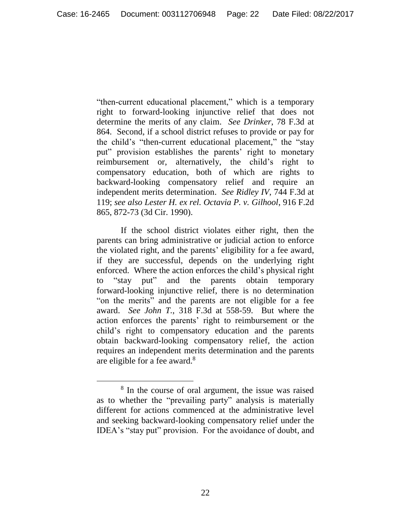"then-current educational placement," which is a temporary right to forward-looking injunctive relief that does not determine the merits of any claim. *See Drinker*, 78 F.3d at 864. Second, if a school district refuses to provide or pay for the child's "then-current educational placement," the "stay put" provision establishes the parents' right to monetary reimbursement or, alternatively, the child's right to compensatory education, both of which are rights to backward-looking compensatory relief and require an independent merits determination. *See Ridley IV*, 744 F.3d at 119; *see also Lester H. ex rel. Octavia P. v. Gilhool*, 916 F.2d 865, 872-73 (3d Cir. 1990).

If the school district violates either right, then the parents can bring administrative or judicial action to enforce the violated right, and the parents' eligibility for a fee award, if they are successful, depends on the underlying right enforced. Where the action enforces the child's physical right to "stay put" and the parents obtain temporary forward-looking injunctive relief, there is no determination "on the merits" and the parents are not eligible for a fee award. *See John T.*, 318 F.3d at 558-59. But where the action enforces the parents' right to reimbursement or the child's right to compensatory education and the parents obtain backward-looking compensatory relief, the action requires an independent merits determination and the parents are eligible for a fee award.<sup>8</sup>

<sup>8</sup> In the course of oral argument, the issue was raised as to whether the "prevailing party" analysis is materially different for actions commenced at the administrative level and seeking backward-looking compensatory relief under the IDEA's "stay put" provision. For the avoidance of doubt, and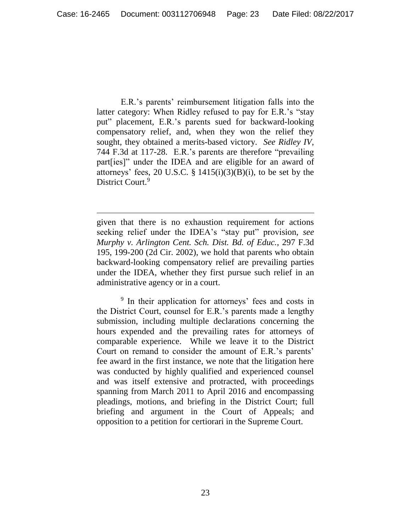E.R.'s parents' reimbursement litigation falls into the latter category: When Ridley refused to pay for E.R.'s "stay put" placement, E.R.'s parents sued for backward-looking compensatory relief, and, when they won the relief they sought, they obtained a merits-based victory. *See Ridley IV*, 744 F.3d at 117-28. E.R.'s parents are therefore "prevailing part[ies]" under the IDEA and are eligible for an award of attorneys' fees, 20 U.S.C. §  $1415(i)(3)(B)(i)$ , to be set by the District Court.<sup>9</sup>

given that there is no exhaustion requirement for actions seeking relief under the IDEA's "stay put" provision, *see Murphy v. Arlington Cent. Sch. Dist. Bd. of Educ.*, 297 F.3d 195, 199-200 (2d Cir. 2002), we hold that parents who obtain backward-looking compensatory relief are prevailing parties under the IDEA, whether they first pursue such relief in an administrative agency or in a court.

<sup>9</sup> In their application for attorneys' fees and costs in the District Court, counsel for E.R.'s parents made a lengthy submission, including multiple declarations concerning the hours expended and the prevailing rates for attorneys of comparable experience. While we leave it to the District Court on remand to consider the amount of E.R.'s parents' fee award in the first instance, we note that the litigation here was conducted by highly qualified and experienced counsel and was itself extensive and protracted, with proceedings spanning from March 2011 to April 2016 and encompassing pleadings, motions, and briefing in the District Court; full briefing and argument in the Court of Appeals; and opposition to a petition for certiorari in the Supreme Court.